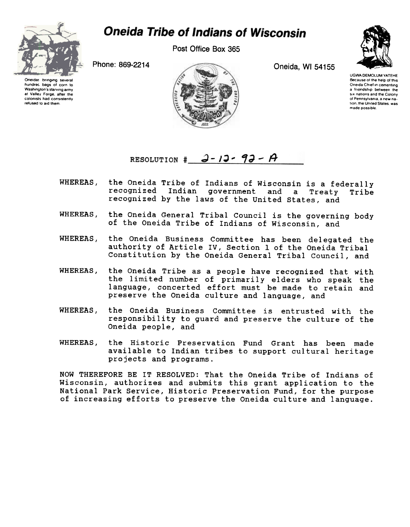

colonists had consistently refused to aid them

## **Oneida Tribe of Indians of Wisconsin**

Post Office Box 365



Oneidas bringing several hundrec bags of corn to Washington's starving army at Valley Forge, after the



UGWA DEMOLUM YATEHE Because of the help of this Oneida Chief in cementing a friendship between the six nations and the Colony of Pennsylvania, a new nation, the United States, was made possible.

## RESOLUTION #  $3 - 13 - 93 - 14$

- WHEREAS. the Oneida Tribe of Indians of Wisconsin is a federally recognized Indian government and a Treaty Tribe recognized by the laws of the United states, and
- WHEREAS, the Oneida General Tribal Council is the governing body of the Oneida Tribe of Indians of Wisconsin, and
- the Oneida Business Committee has been delegated the WHEREAS, authority of Article IV, Section 1 of the Oneida Tribal Constitution by the Oneida General Tribal Council, and
- WHEREAS, the Oneida Tribe as a people have recognized that with the limited number of primarily elders who speak the language, concerted effort must be made to retain and preserve the Oneida culture and language, and
- WHEREAS, the Oneida Business Committee is entrusted with the responsibility to guard and preserve the culture of the Oneida people, and
- the Historic Preservation Fund Grant has been made WHEREAS, available to Indian tribes to support cultural heritage projects and programs.

NOW THEREFORE BE IT RESOLVED: That the Oneida Tribe of Indians of Wisconsin, authorizes and submits this grant application to the National Park Service, Historic Preservation Fund, for the purpose of increasing efforts to preserve the Oneida culture and language.